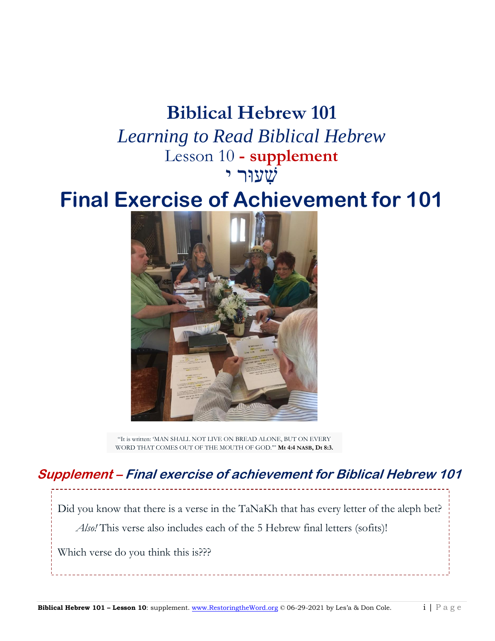### **Biblical Hebrew 101**

*Learning to Read Biblical Hebrew* Lesson 10 **- supplement** שִׁ עוּר י

# **Final Exercise of Achievement for 101**



"It is written: 'MAN SHALL NOT LIVE ON BREAD ALONE, BUT ON EVERY WORD THAT COMES OUT OF THE MOUTH OF GOD.'" **Mt 4:4 NASB, Dt 8:3.**

#### **Supplement – Final exercise of achievement for Biblical Hebrew 101**

Did you know that there is a verse in the TaNaKh that has every letter of the aleph bet? *Also!* This verse also includes each of the 5 Hebrew final letters (sofits)!

Which verse do you think this is???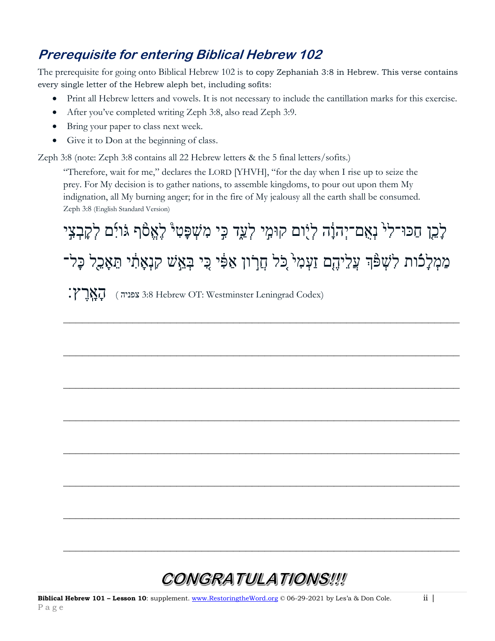#### **Prerequisite for entering Biblical Hebrew 102**

The prerequisite for going onto Biblical Hebrew 102 is to copy Zephaniah 3:8 in Hebrew. This verse contains every single letter of the Hebrew aleph bet, including sofits:

- Print all Hebrew letters and vowels. It is not necessary to include the cantillation marks for this exercise.
- After you've completed writing Zeph 3:8, also read Zeph 3:9.
- Bring your paper to class next week.
- Give it to Don at the beginning of class.

Zeph 3:8 (note: Zeph 3:8 contains all 22 Hebrew letters & the 5 final letters/sofits.)

"Therefore, wait for me," declares the LORD [YHVH], "for the day when I rise up to seize the prey. For My decision is to gather nations, to assemble kingdoms, to pour out upon them My indignation, all My burning anger; for in the fire of My jealousy all the earth shall be consumed. Zeph 3:8 (English Standard Version)

לָכֵ**ן חַכּוּ־לִי נְאָם־יְהוָ**ׂה לְיָוֹם קוּמִי לְעַד ּבִי מִשְׁפָּטִיْ לָאֱסֿף גֹּויִּם לְקָבְצִי מִמְלָכֿות לִשְׁפֿֿן עֲלֵיהֶם זַעְמִי כִּל חֲרִון אַפִּٔי כִּי בְּאֵשׁ קִנְאָתִ֫י תֵאָבֵל כָּל־  $\sum_{i}$ וֹן 3:8 Hebrew OT: Westminster Leningrad Codex)

**\_\_\_\_\_\_\_\_\_\_\_\_\_\_\_\_\_\_\_\_\_\_\_\_\_\_\_\_\_\_\_\_\_\_\_\_\_\_\_\_\_\_\_\_\_\_\_\_\_\_\_\_\_\_\_\_\_\_\_\_\_\_\_**

**\_\_\_\_\_\_\_\_\_\_\_\_\_\_\_\_\_\_\_\_\_\_\_\_\_\_\_\_\_\_\_\_\_\_\_\_\_\_\_\_\_\_\_\_\_\_\_\_\_\_\_\_\_\_\_\_\_\_\_\_\_\_\_**

**\_\_\_\_\_\_\_\_\_\_\_\_\_\_\_\_\_\_\_\_\_\_\_\_\_\_\_\_\_\_\_\_\_\_\_\_\_\_\_\_\_\_\_\_\_\_\_\_\_\_\_\_\_\_\_\_\_\_\_\_\_\_\_**

**\_\_\_\_\_\_\_\_\_\_\_\_\_\_\_\_\_\_\_\_\_\_\_\_\_\_\_\_\_\_\_\_\_\_\_\_\_\_\_\_\_\_\_\_\_\_\_\_\_\_\_\_\_\_\_\_\_\_\_\_\_\_\_**

**\_\_\_\_\_\_\_\_\_\_\_\_\_\_\_\_\_\_\_\_\_\_\_\_\_\_\_\_\_\_\_\_\_\_\_\_\_\_\_\_\_\_\_\_\_\_\_\_\_\_\_\_\_\_\_\_\_\_\_\_\_\_\_**

**\_\_\_\_\_\_\_\_\_\_\_\_\_\_\_\_\_\_\_\_\_\_\_\_\_\_\_\_\_\_\_\_\_\_\_\_\_\_\_\_\_\_\_\_\_\_\_\_\_\_\_\_\_\_\_\_\_\_\_\_\_\_\_**

**\_\_\_\_\_\_\_\_\_\_\_\_\_\_\_\_\_\_\_\_\_\_\_\_\_\_\_\_\_\_\_\_\_\_\_\_\_\_\_\_\_\_\_\_\_\_\_\_\_\_\_\_\_\_\_\_\_\_\_\_\_\_\_**

**\_\_\_\_\_\_\_\_\_\_\_\_\_\_\_\_\_\_\_\_\_\_\_\_\_\_\_\_\_\_\_\_\_\_\_\_\_\_\_\_\_\_\_\_\_\_\_\_\_\_\_\_\_\_\_\_\_\_\_\_\_\_\_**

## CONGRATULATIONS!!!!